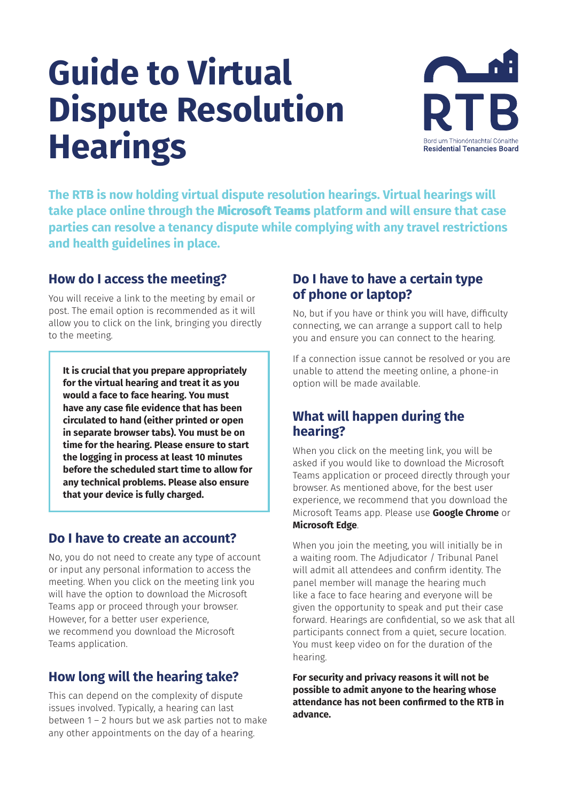# **Guide to Virtual Dispute Resolution Hearings**



**The RTB is now holding virtual dispute resolution hearings. Virtual hearings will take place online through the** Microsoft Teams **platform and will ensure that case parties can resolve a tenancy dispute while complying with any travel restrictions and health guidelines in place.** 

# **How do I access the meeting?**

You will receive a link to the meeting by email or post. The email option is recommended as it will allow you to click on the link, bringing you directly to the meeting.

**It is crucial that you prepare appropriately for the virtual hearing and treat it as you would a face to face hearing. You must have any case file evidence that has been circulated to hand (either printed or open in separate browser tabs). You must be on time for the hearing. Please ensure to start the logging in process at least 10 minutes before the scheduled start time to allow for any technical problems. Please also ensure that your device is fully charged.**

# **Do I have to create an account?**

No, you do not need to create any type of account or input any personal information to access the meeting. When you click on the meeting link you will have the option to download the Microsoft Teams app or proceed through your browser. However, for a better user experience, we recommend you download the Microsoft Teams application.

# **How long will the hearing take?**

This can depend on the complexity of dispute issues involved. Typically, a hearing can last between 1 – 2 hours but we ask parties not to make any other appointments on the day of a hearing.

# **Do I have to have a certain type of phone or laptop?**

No, but if you have or think you will have, difficulty connecting, we can arrange a support call to help you and ensure you can connect to the hearing.

If a connection issue cannot be resolved or you are unable to attend the meeting online, a phone-in option will be made available.

# **What will happen during the hearing?**

When you click on the meeting link, you will be asked if you would like to download the Microsoft Teams application or proceed directly through your browser. As mentioned above, for the best user experience, we recommend that you download the Microsoft Teams app. Please use **Google Chrome** or **Microsoft Edge**.

When you join the meeting, you will initially be in a waiting room. The Adjudicator / Tribunal Panel will admit all attendees and confirm identity. The panel member will manage the hearing much like a face to face hearing and everyone will be given the opportunity to speak and put their case forward. Hearings are confidential, so we ask that all participants connect from a quiet, secure location. You must keep video on for the duration of the hearing.

**For security and privacy reasons it will not be possible to admit anyone to the hearing whose attendance has not been confirmed to the RTB in advance.**